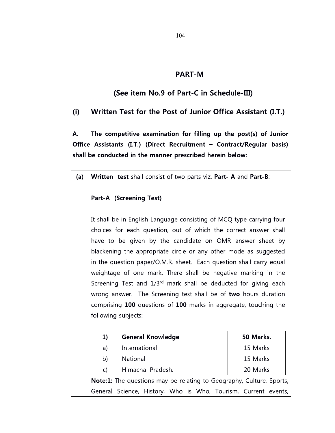## **PART-M**

## **(See item No.9 of Part-C in Schedule-III)**

## **(i) Written Test for the Post of Junior Office Assistant (I.T.)**

**The competitive examination for filling up the post(s) of Junior Office Assistants (I.T.) (Direct Recruitment - Contract/Regular basis) shall be conducted in the manner prescribed herein below: A.**

|  |  |  |  |  |  |  | (a) Written test shall consist of two parts viz. Part- A and Part-B: |
|--|--|--|--|--|--|--|----------------------------------------------------------------------|
|--|--|--|--|--|--|--|----------------------------------------------------------------------|

## **Part-A (Screening Test)**

It shall be in English Language consisting of MCQ type carrying four choices for each question, out of which the correct answer shall have to be given by the candidate on OMR answer sheet by blackening the appropriate circle or any other mode as suggested in the question paper/O.M.R. sheet. Each question shall carry equal weightage of one mark. There shall be negative marking in the in the question paper/O.M.R. sheet. Each question shall carry equal<br>weightage of one mark. There shall be negative marking in the<br>Screening Test and 1/3<sup>rd</sup> mark shall be deducted for giving each wrong answer. The Screening test shall be of **two** hours duration comprising **100** questions of **100** marks in aggregate, touching the following subjects:

| 1)                                                                          | <b>General Knowledge</b>                                       | 50 Marks. |  |  |
|-----------------------------------------------------------------------------|----------------------------------------------------------------|-----------|--|--|
| a)                                                                          | International                                                  | 15 Marks  |  |  |
| b)                                                                          | National                                                       | 15 Marks  |  |  |
| $\mathsf{C}$                                                                | Himachal Pradesh.                                              | 20 Marks  |  |  |
| <b>Note:1:</b> The questions may be relating to Geography, Culture, Sports, |                                                                |           |  |  |
|                                                                             | General Science, History, Who is Who, Tourism, Current events, |           |  |  |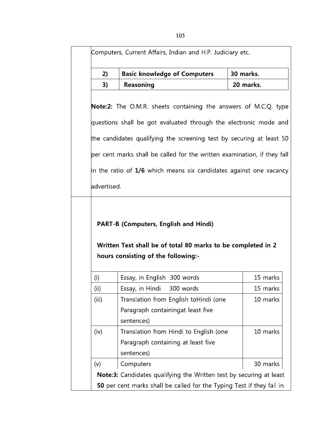| 2)          | <b>Basic knowledge of Computers</b>                                                                 | 30 marks.                                    |
|-------------|-----------------------------------------------------------------------------------------------------|----------------------------------------------|
| 3)          | Reasoning                                                                                           | 20 marks.                                    |
|             |                                                                                                     |                                              |
|             | <b>Note:2:</b> The O.M.R. sheets containing the answers of M.C.Q. type                              |                                              |
|             | questions shall be got evaluated through the electronic mode and                                    |                                              |
|             | the candidates qualifying the screening test by securing at least 50                                |                                              |
|             | per cent marks shall be called for the written examination, if they fall                            |                                              |
|             | in the ratio of $1/6$ which means six candidates against one vacancy                                |                                              |
|             |                                                                                                     |                                              |
|             |                                                                                                     |                                              |
|             | <b>PART-B (Computers, English and Hindi)</b>                                                        |                                              |
| advertised. | Written Test shall be of total 80 marks to be completed in 2<br>hours consisting of the following:- |                                              |
| (i)         | Essay, in English 300 words                                                                         |                                              |
| (i)         | Essay, in Hindi 300 words                                                                           |                                              |
| (iii)       | Translation from English toHindi (one                                                               |                                              |
|             | Paragraph containingat least five                                                                   |                                              |
|             | sentences)                                                                                          |                                              |
| (iv)        | Translation from Hindi to English (one                                                              |                                              |
|             | Paragraph containing at least five                                                                  |                                              |
|             | sentences)                                                                                          | 15 marks<br>15 marks<br>10 marks<br>10 marks |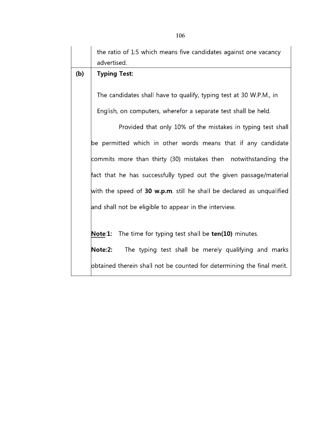|     | the ratio of 1:5 which means five candidates against one vacancy<br>advertised. |  |  |  |  |  |
|-----|---------------------------------------------------------------------------------|--|--|--|--|--|
| (b) | <b>Typing Test:</b>                                                             |  |  |  |  |  |
|     | The candidates shall have to qualify, typing test at 30 W.P.M., in              |  |  |  |  |  |
|     | English, on computers, wherefor a separate test shall be held.                  |  |  |  |  |  |
|     | Provided that only 10% of the mistakes in typing test shall                     |  |  |  |  |  |
|     | be permitted which in other words means that if any candidate                   |  |  |  |  |  |
|     | commits more than thirty (30) mistakes then notwithstanding the                 |  |  |  |  |  |
|     | fact that he has successfully typed out the given passage/material              |  |  |  |  |  |
|     | with the speed of $30$ w.p.m. still he shall be declared as unqualified         |  |  |  |  |  |
|     | and shall not be eligible to appear in the interview.                           |  |  |  |  |  |
|     |                                                                                 |  |  |  |  |  |
|     | The time for typing test shall be ten(10) minutes.<br>Note:1:                   |  |  |  |  |  |
|     | The typing test shall be merely qualifying and marks<br>Note:2:                 |  |  |  |  |  |
|     | obtained therein shall not be counted for determining the final merit.          |  |  |  |  |  |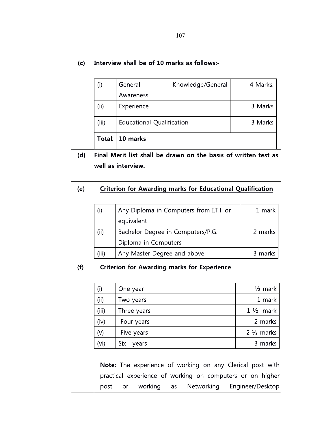| (c)        |                   |                                                                                                                                                             |                                |  |  |  |
|------------|-------------------|-------------------------------------------------------------------------------------------------------------------------------------------------------------|--------------------------------|--|--|--|
|            | (i)               | General<br>Knowledge/General<br>Awareness                                                                                                                   | 4 Marks.                       |  |  |  |
|            | (iii)             | Experience                                                                                                                                                  | 3 Marks                        |  |  |  |
|            | (iii)             | <b>Educational Qualification</b>                                                                                                                            | 3 Marks                        |  |  |  |
|            | Total:            | 10 marks                                                                                                                                                    |                                |  |  |  |
| (d)<br>(e) |                   | Final Merit list shall be drawn on the basis of written test as<br>well as interview.<br>Criterion for Awarding marks for Educational Qualification         |                                |  |  |  |
|            | (i)               | Any Diploma in Computers from I.T.I. or<br>equivalent                                                                                                       | 1 mark                         |  |  |  |
|            | (ii)              | Bachelor Degree in Computers/P.G.<br>Diploma in Computers                                                                                                   | 2 marks                        |  |  |  |
|            | (iii)             | Any Master Degree and above                                                                                                                                 | 3 marks                        |  |  |  |
| (f)        |                   | <b>Criterion for Awarding marks for Experience</b>                                                                                                          |                                |  |  |  |
|            | (i)               | One year                                                                                                                                                    | $\frac{1}{2}$ mark             |  |  |  |
|            | (ii)              | Two years                                                                                                                                                   | 1 mark                         |  |  |  |
|            | (iii)             | Three years                                                                                                                                                 | $1\frac{1}{2}$ mark<br>2 marks |  |  |  |
|            | (iv)<br>(v)       | Four years<br>Five years                                                                                                                                    | $2\frac{1}{2}$ marks           |  |  |  |
|            | (v <sub>i</sub> ) | Six<br>years                                                                                                                                                | 3 marks                        |  |  |  |
|            | post              | Note: The experience of working on any Clerical post with<br>practical experience of working on computers or on higher<br>working<br>Networking<br>or<br>as | Engineer/Desktop               |  |  |  |